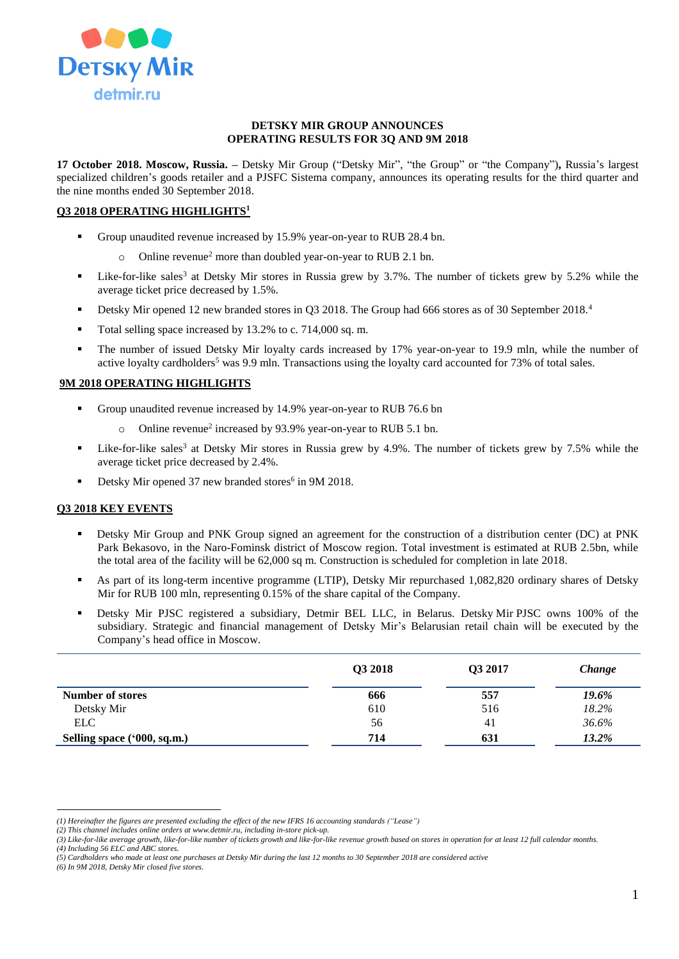

#### **DETSKY MIR GROUP ANNOUNCES OPERATING RESULTS FOR 3Q AND 9M 2018**

**17 October 2018. Moscow, Russia. –** Detsky Mir Group ("Detsky Mir", "the Group" or "the Company")**,** Russia's largest specialized children's goods retailer and a PJSFC Sistema company, announces its operating results for the third quarter and the nine months ended 30 September 2018.

# **Q3 2018 OPERATING HIGHLIGHTS<sup>1</sup>**

- Group unaudited revenue increased by 15.9% year-on-year to RUB 28.4 bn.
	- $\circ$  Online revenue<sup>2</sup> more than doubled year-on-year to RUB 2.1 bn.
- Eike-for-like sales<sup>3</sup> at Detsky Mir stores in Russia grew by 3.7%. The number of tickets grew by 5.2% while the average ticket price decreased by 1.5%.
- Detsky Mir opened 12 new branded stores in O3 2018. The Group had 666 stores as of 30 September 2018.<sup>4</sup>
- Total selling space increased by 13.2% to c. 714,000 sq. m.
- The number of issued Detsky Mir loyalty cards increased by 17% year-on-year to 19.9 mln, while the number of active loyalty cardholders<sup>5</sup> was 9.9 mln. Transactions using the loyalty card accounted for  $73\%$  of total sales.

## **9M 2018 OPERATING HIGHLIGHTS**

- Group unaudited revenue increased by 14.9% year-on-year to RUB 76.6 bn
	- o Online revenue<sup>2</sup> increased by 93.9% year-on-year to RUB 5.1 bn.
- **Example 1** Like-for-like sales<sup>3</sup> at Detsky Mir stores in Russia grew by 4.9%. The number of tickets grew by 7.5% while the average ticket price decreased by 2.4%.
- Detsky Mir opened 37 new branded stores<sup>6</sup> in 9M 2018.

## **Q3 2018 KEY EVENTS**

- Detsky Mir Group and PNK Group signed an agreement for the construction of a distribution center (DC) at PNK Park Bekasovo, in the Naro-Fominsk district of Moscow region. Total investment is estimated at RUB 2.5bn, while the total area of the facility will be 62,000 sq m. Construction is scheduled for completion in late 2018.
- As part of its long-term incentive programme (LTIP), Detsky Mir repurchased 1,082,820 ordinary shares of Detsky Mir for RUB 100 mln, representing 0.15% of the share capital of the Company.
- Detsky Mir PJSC registered a subsidiary, Detmir BEL LLC, in Belarus. Detsky Mir PJSC owns 100% of the subsidiary. Strategic and financial management of Detsky Mir's Belarusian retail chain will be executed by the Company's head office in Moscow.

|                             | Q3 2018 | Q3 2017 | Change |  |
|-----------------------------|---------|---------|--------|--|
| <b>Number of stores</b>     | 666     | 557     | 19.6%  |  |
| Detsky Mir                  | 610     | 516     | 18.2%  |  |
| <b>ELC</b>                  | 56      | 41      | 36.6%  |  |
| Selling space ('000, sq.m.) | 714     | 631     | 13.2%  |  |

*(4) Including 56 ELC and ABC stores.* 

*(6) In 9M 2018, Detsky Mir closed five stores.*

 $\overline{a}$ *(1) Hereinafter the figures are presented excluding the effect of the new IFRS 16 accounting standards ("Lease")*

*<sup>(2)</sup> This channel includes online orders at [www.detmir.ru,](http://www.detmir.ru/) including in-store pick-up.*

*<sup>(3)</sup> Like-for-like average growth, like-for-like number of tickets growth and like-for-like revenue growth based on stores in operation for at least 12 full calendar months.*

*<sup>(5)</sup> Cardholders who made at least one purchases at Detsky Mir during the last 12 months to 30 September 2018 are considered active*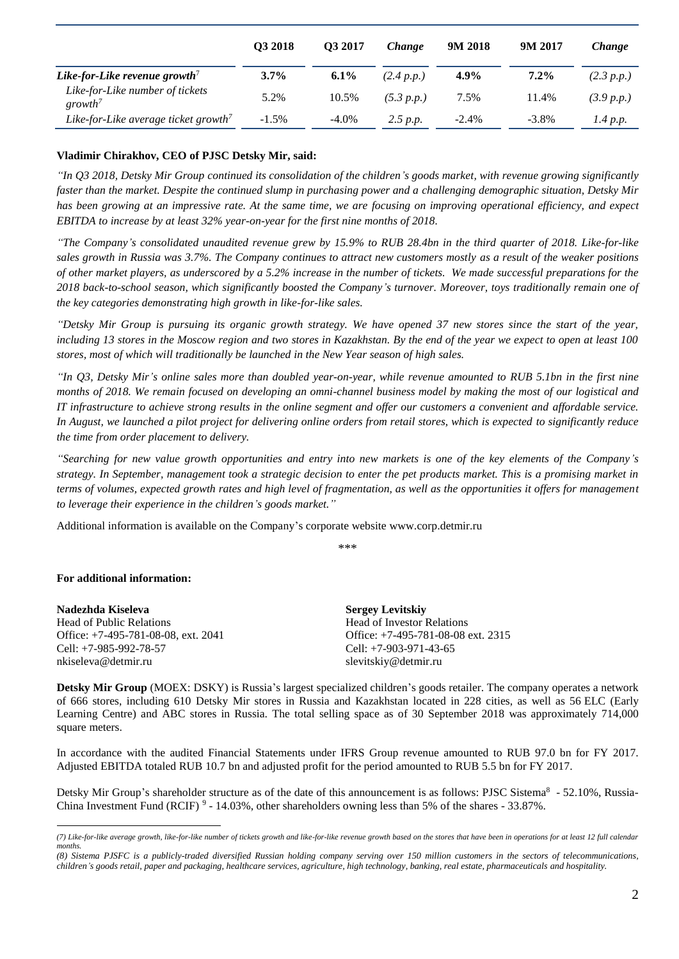|                                                        | O3 2018  | O <sub>3</sub> 2017 | <i>Change</i> | 9M 2018  | 9M 2017  | <i>Change</i> |
|--------------------------------------------------------|----------|---------------------|---------------|----------|----------|---------------|
| Like-for-Like revenue growth'                          | $3.7\%$  | $6.1\%$             | (2.4 p.p.)    | $4.9\%$  | $7.2\%$  | (2.3 p.p.)    |
| Like-for-Like number of tickets<br>growth <sup>7</sup> | 5.2%     | 10.5%               | (5.3 p.p.)    | 7.5%     | 11.4%    | (3.9 p.p.)    |
| Like-for-Like average ticket growth <sup>7</sup>       | $-1.5\%$ | $-4.0\%$            | 2.5 p.p.      | $-2.4\%$ | $-3.8\%$ | 1.4 p.p.      |

# **Vladimir Chirakhov, CEO of PJSC Detsky Mir, said:**

*"In Q3 2018, Detsky Mir Group continued its consolidation of the children's goods market, with revenue growing significantly faster than the market. Despite the continued slump in purchasing power and a challenging demographic situation, Detsky Mir has been growing at an impressive rate. At the same time, we are focusing on improving operational efficiency, and expect EBITDA to increase by at least 32% year-on-year for the first nine months of 2018.* 

*"The Company's consolidated unaudited revenue grew by 15.9% to RUB 28.4bn in the third quarter of 2018. Like-for-like sales growth in Russia was 3.7%. The Company continues to attract new customers mostly as a result of the weaker positions of other market players, as underscored by a 5.2% increase in the number of tickets. We made successful preparations for the 2018 back-to-school season, which significantly boosted the Company's turnover. Moreover, toys traditionally remain one of the key categories demonstrating high growth in like-for-like sales.* 

*"Detsky Mir Group is pursuing its organic growth strategy. We have opened 37 new stores since the start of the year, including 13 stores in the Moscow region and two stores in Kazakhstan. By the end of the year we expect to open at least 100 stores, most of which will traditionally be launched in the New Year season of high sales.* 

*"In Q3, Detsky Mir's online sales more than doubled year-on-year, while revenue amounted to RUB 5.1bn in the first nine months of 2018. We remain focused on developing an omni-channel business model by making the most of our logistical and IT infrastructure to achieve strong results in the online segment and offer our customers a convenient and affordable service. In August, we launched a pilot project for delivering online orders from retail stores, which is expected to significantly reduce the time from order placement to delivery.* 

*"Searching for new value growth opportunities and entry into new markets is one of the key elements of the Company's strategy. In September, management took a strategic decision to enter the pet products market. This is a promising market in terms of volumes, expected growth rates and high level of fragmentation, as well as the opportunities it offers for management to leverage their experience in the children's goods market."*

Additional information is available on the Company's corporate website www.corp.detmir.ru

\*\*\*

## **For additional information:**

**Nadezhda Kiseleva** Head of Public Relations Office: +7-495-781-08-08, ext. 2041 Cell: +7-985-992-78-57 nkiseleva@detmir.ru

**Sergey Levitskiy** Head of Investor Relations Office: +7-495-781-08-08 ext. 2315 Cell: +7-903-971-43-65 slevitskiy@detmir.ru

**Detsky Mir Group** (MOEX: DSKY) is Russia's largest specialized children's goods retailer. The company operates a network of 666 stores, including 610 Detsky Mir stores in Russia and Kazakhstan located in 228 cities, as well as 56 ELC (Early Learning Centre) and ABC stores in Russia. The total selling space as of 30 September 2018 was approximately 714,000 square meters.

In accordance with the audited Financial Statements under IFRS Group revenue amounted to RUB 97.0 bn for FY 2017. Adjusted EBITDA totaled RUB 10.7 bn and adjusted profit for the period amounted to RUB 5.5 bn for FY 2017.

Detsky Mir Group's shareholder structure as of the date of this announcement is as follows: PJSC Sistema<sup>8</sup> - 52.10%, Russia-China Investment Fund (RCIF)  $9 - 14.03\%$ , other shareholders owning less than 5% of the shares - 33.87%.

 $\overline{a}$ *(7) Like-for-like average growth, like-for-like number of tickets growth and like-for-like revenue growth based on the stores that have been in operations for at least 12 full calendar months.*

*<sup>(8)</sup> Sistema PJSFC is a publicly-traded diversified Russian holding company serving over 150 million customers in the sectors of telecommunications, children's goods retail, paper and packaging, healthcare services, agriculture, high technology, banking, real estate, pharmaceuticals and hospitality.*